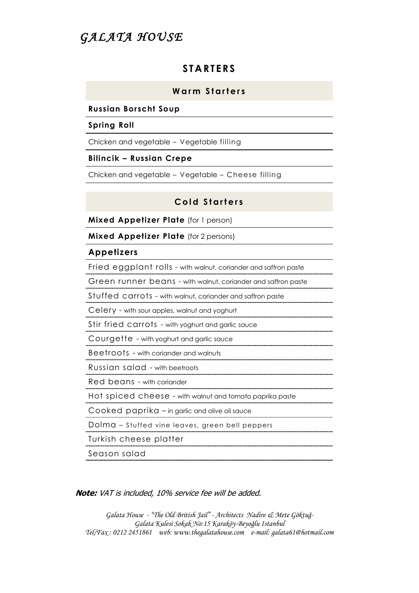# GALATA HOUSE

## **S TAR TE RS**

## **Warm** Starters

### **Russian Borscht Soup**

#### **Spring Roll**

Chicken and vegetable – Vegetable filling

### **Bilincik – Russian Crepe**

Chicken and vegetable – Vegetable – Cheese filling

## **Cold Starters**

**Mixed Appetizer Plate** (for 1 person)

**Mixed Appetizer Plate** (for 2 persons)

### **Appetizers**

| Fried eggplant rolls - with walnut, coriander and saffron paste |
|-----------------------------------------------------------------|
| Green runner beans - with walnut, coriander and saffron paste   |
| Stuffed carrots - with walnut, coriander and saffron paste      |
| Celery - with sour apples, walnut and yoghurt                   |
| Stir fried carrots - with yoghurt and garlic sauce              |
| Courgette - with yoghurt and garlic sauce                       |
| Beetroots - with coriander and walnuts                          |
| Russian salad - with beetroots                                  |
| Red beans - with coriander                                      |
| Hot spiced cheese - with walnut and tomato paprika paste        |
| $\text{Cooked}$ paprika $-$ in garlic and olive oil sauce       |
| Dolma - Stuffed vine leaves, green bell peppers                 |
| Turkish cheese platter                                          |
| Season salad                                                    |

**Note:** VAT is included, 10% service fee will be added.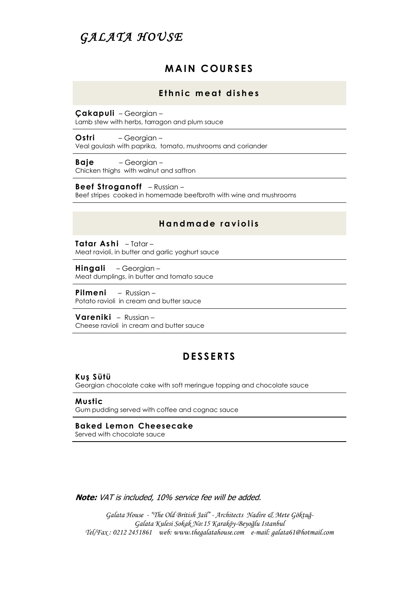# *GA L A TA H O U SE*

## **M AIN C OUR SES**

### Ethnic meat dishes

**Çakapuli** – Georgian – Lamb stew with herbs, tarragon and plum sauce

**Ostri** – Georgian – Veal goulash with paprika, tomato, mushrooms and coriander

**Baje** – Georgian – Chicken thighs with walnut and saffron

**Beef Stroganoff** – Russian – Beef stripes cooked in homemade beefbroth with wine and mushrooms

### **H a n d m a d e r a v i o l i s**

**Tatar Ashi** – Tatar – Meat ravioli, in butter and garlic yoghurt sauce

**Hingali** – Georgian – Meat dumplings, in butter and tomato sauce

**Pilmeni** – Russian – Potato ravioli in cream and butter sauce

**Vareniki** – Russian – Cheese ravioli in cream and butter sauce

## **D ESS ER TS**

**Kuş Sütü**

Georgian chocolate cake with soft meringue topping and chocolate sauce

**Mustic** Gum pudding served with coffee and cognac sauce

**Baked Lemon Cheesecake** Served with chocolate sauce

**Note:** VAT is included, 10% service fee will be added.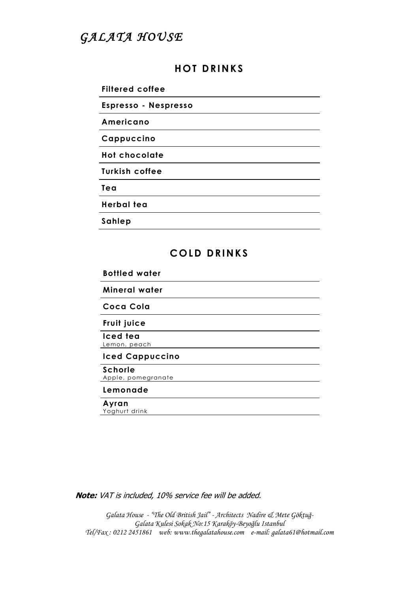# GALATA HOUSE

# **H OT DR INK S**

**Filtered coffee** 

**Espresso - Nespresso** 

**Americano** 

**Cappuccino** 

**Hot chocolate** 

**Turkish coffee** 

**Tea**

**Herbal tea** 

**Sahlep** 

# **COLD DRINKS**

**Bottled water**

**Mineral water**

**Coca Cola** 

**Fruit juice**

**Iced tea**  Lemon, peach

**Iced Cappuccino**

#### **Schorle**

Apple, pomegranate

## **Lemonade**

#### **Ayran**

Yoghurt drink

**Note:** VAT is included, 10% service fee will be added.